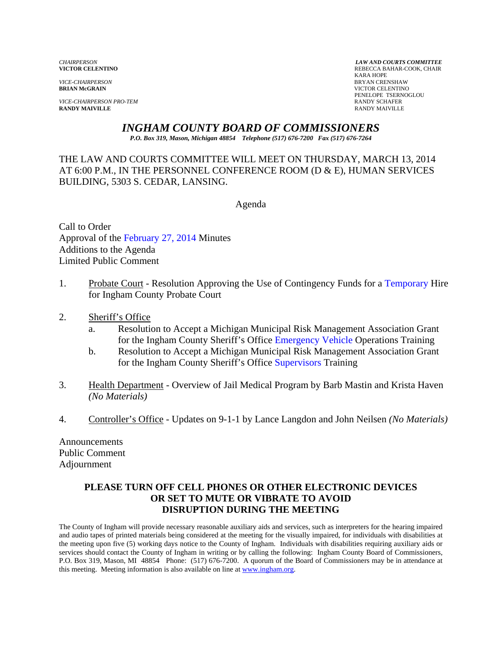*VICE-CHAIRPERSON* BRYAN CRENSHAW

*VICE-CHAIRPERSON PRO-TEM* **RANDY SCHAFER RANDY SCHAFER RANDY SCHAFER RANDY SCHAFER RANDY MAIVILLE RANDY MAIVILLE** RANDY MAIVILLE

*CHAIRPERSON LAW AND COURTS COMMITTEE* REBECCA BAHAR-COOK, CHAIR<br>KARA HOPE KARA HOPE **VICTOR CELENTINO** PENELOPE TSERNOGLOU

# *INGHAM COUNTY BOARD OF COMMISSIONERS*

*P.O. Box 319, Mason, Michigan 48854 Telephone (517) 676-7200 Fax (517) 676-7264*

THE LAW AND COURTS COMMITTEE WILL MEET ON THURSDAY, MARCH 13, 2014 AT 6:00 P.M., IN THE PERSONNEL CONFERENCE ROOM (D & E), HUMAN SERVICES BUILDING, 5303 S. CEDAR, LANSING.

Agenda

Call to Order Approval of t[he February 27, 2014 Minutes](#page-1-0)  Additions to the Agenda Limited Public Comment

- 1. Probate Court Resolution Approving the Use of Contingency Funds for [a Temporary Hire](#page-6-0)  for Ingham County Probate Court
- 2. Sheriff's Office
	- a. Resolution to Accept a Michigan Municipal Risk Management Association Grant for the Ingham County Sheriff's Off[ice Emergency Vehicle Opera](#page-8-0)tions Training
	- b. Resolution to Accept a Michigan Municipal Risk Management Association Grant for the Ingham County Sheriff's Offi[ce Supervisors Training](#page-10-0)
- 3. Health Department Overview of Jail Medical Program by Barb Mastin and Krista Haven *(No Materials)*
- 4. Controller's Office Updates on 9-1-1 by Lance Langdon and John Neilsen *(No Materials)*

Announcements Public Comment Adjournment

#### **PLEASE TURN OFF CELL PHONES OR OTHER ELECTRONIC DEVICES OR SET TO MUTE OR VIBRATE TO AVOID DISRUPTION DURING THE MEETING**

The County of Ingham will provide necessary reasonable auxiliary aids and services, such as interpreters for the hearing impaired and audio tapes of printed materials being considered at the meeting for the visually impaired, for individuals with disabilities at the meeting upon five (5) working days notice to the County of Ingham. Individuals with disabilities requiring auxiliary aids or services should contact the County of Ingham in writing or by calling the following: Ingham County Board of Commissioners, P.O. Box 319, Mason, MI 48854 Phone: (517) 676-7200. A quorum of the Board of Commissioners may be in attendance at this meeting. Meeting information is also available on line at www.ingham.org.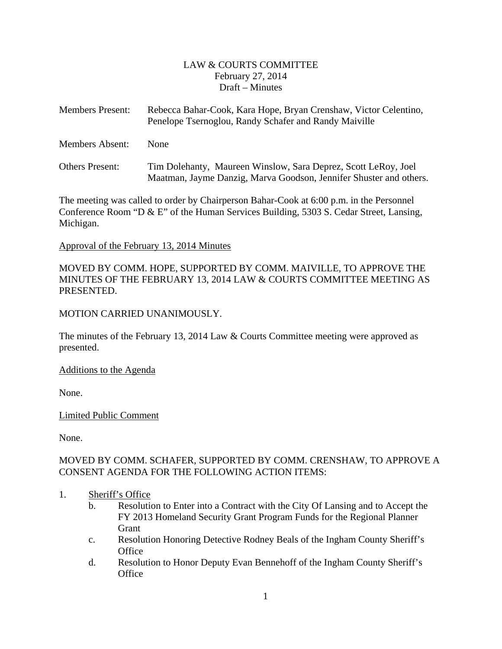#### LAW & COURTS COMMITTEE February 27, 2014 Draft – Minutes

<span id="page-1-0"></span>

| <b>Members Present:</b> | Rebecca Bahar-Cook, Kara Hope, Bryan Crenshaw, Victor Celentino,<br>Penelope Tsernoglou, Randy Schafer and Randy Maiville            |
|-------------------------|--------------------------------------------------------------------------------------------------------------------------------------|
| Members Absent:         | <b>None</b>                                                                                                                          |
| <b>Others Present:</b>  | Tim Dolehanty, Maureen Winslow, Sara Deprez, Scott LeRoy, Joel<br>Maatman, Jayme Danzig, Marva Goodson, Jennifer Shuster and others. |

The meeting was called to order by Chairperson Bahar-Cook at 6:00 p.m. in the Personnel Conference Room "D & E" of the Human Services Building, 5303 S. Cedar Street, Lansing, Michigan.

#### Approval of the February 13, 2014 Minutes

# MOVED BY COMM. HOPE, SUPPORTED BY COMM. MAIVILLE, TO APPROVE THE MINUTES OF THE FEBRUARY 13, 2014 LAW & COURTS COMMITTEE MEETING AS PRESENTED.

#### MOTION CARRIED UNANIMOUSLY.

The minutes of the February 13, 2014 Law & Courts Committee meeting were approved as presented.

#### Additions to the Agenda

None.

# Limited Public Comment

None.

# MOVED BY COMM. SCHAFER, SUPPORTED BY COMM. CRENSHAW, TO APPROVE A CONSENT AGENDA FOR THE FOLLOWING ACTION ITEMS:

- 1. Sheriff's Office
	- b. Resolution to Enter into a Contract with the City Of Lansing and to Accept the FY 2013 Homeland Security Grant Program Funds for the Regional Planner Grant
	- c. Resolution Honoring Detective Rodney Beals of the Ingham County Sheriff's **Office**
	- d. Resolution to Honor Deputy Evan Bennehoff of the Ingham County Sheriff's **Office**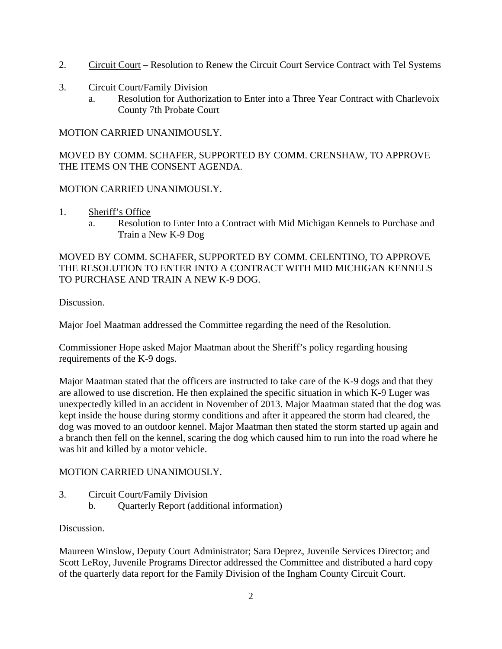- 2. Circuit Court Resolution to Renew the Circuit Court Service Contract with Tel Systems
- 3. Circuit Court/Family Division
	- a. Resolution for Authorization to Enter into a Three Year Contract with Charlevoix County 7th Probate Court

MOTION CARRIED UNANIMOUSLY.

MOVED BY COMM. SCHAFER, SUPPORTED BY COMM. CRENSHAW, TO APPROVE THE ITEMS ON THE CONSENT AGENDA.

#### MOTION CARRIED UNANIMOUSLY.

- 1. Sheriff's Office
	- a. Resolution to Enter Into a Contract with Mid Michigan Kennels to Purchase and Train a New K-9 Dog

MOVED BY COMM. SCHAFER, SUPPORTED BY COMM. CELENTINO, TO APPROVE THE RESOLUTION TO ENTER INTO A CONTRACT WITH MID MICHIGAN KENNELS TO PURCHASE AND TRAIN A NEW K-9 DOG.

Discussion.

Major Joel Maatman addressed the Committee regarding the need of the Resolution.

Commissioner Hope asked Major Maatman about the Sheriff's policy regarding housing requirements of the K-9 dogs.

Major Maatman stated that the officers are instructed to take care of the K-9 dogs and that they are allowed to use discretion. He then explained the specific situation in which K-9 Luger was unexpectedly killed in an accident in November of 2013. Major Maatman stated that the dog was kept inside the house during stormy conditions and after it appeared the storm had cleared, the dog was moved to an outdoor kennel. Major Maatman then stated the storm started up again and a branch then fell on the kennel, scaring the dog which caused him to run into the road where he was hit and killed by a motor vehicle.

# MOTION CARRIED UNANIMOUSLY.

3. Circuit Court/Family Division b. Quarterly Report (additional information)

#### Discussion.

Maureen Winslow, Deputy Court Administrator; Sara Deprez, Juvenile Services Director; and Scott LeRoy, Juvenile Programs Director addressed the Committee and distributed a hard copy of the quarterly data report for the Family Division of the Ingham County Circuit Court.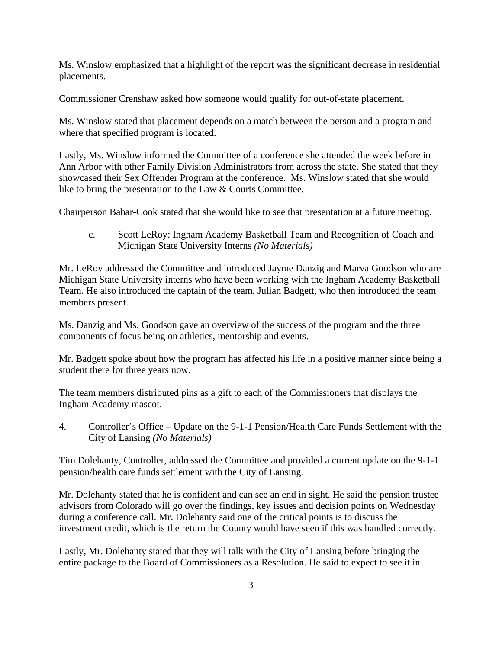Ms. Winslow emphasized that a highlight of the report was the significant decrease in residential placements.

Commissioner Crenshaw asked how someone would qualify for out-of-state placement.

Ms. Winslow stated that placement depends on a match between the person and a program and where that specified program is located.

Lastly, Ms. Winslow informed the Committee of a conference she attended the week before in Ann Arbor with other Family Division Administrators from across the state. She stated that they showcased their Sex Offender Program at the conference. Ms. Winslow stated that she would like to bring the presentation to the Law & Courts Committee.

Chairperson Bahar-Cook stated that she would like to see that presentation at a future meeting.

c. Scott LeRoy: Ingham Academy Basketball Team and Recognition of Coach and Michigan State University Interns *(No Materials)* 

Mr. LeRoy addressed the Committee and introduced Jayme Danzig and Marva Goodson who are Michigan State University interns who have been working with the Ingham Academy Basketball Team. He also introduced the captain of the team, Julian Badgett, who then introduced the team members present.

Ms. Danzig and Ms. Goodson gave an overview of the success of the program and the three components of focus being on athletics, mentorship and events.

Mr. Badgett spoke about how the program has affected his life in a positive manner since being a student there for three years now.

The team members distributed pins as a gift to each of the Commissioners that displays the Ingham Academy mascot.

4. Controller's Office – Update on the 9-1-1 Pension/Health Care Funds Settlement with the City of Lansing *(No Materials)* 

Tim Dolehanty, Controller, addressed the Committee and provided a current update on the 9-1-1 pension/health care funds settlement with the City of Lansing.

Mr. Dolehanty stated that he is confident and can see an end in sight. He said the pension trustee advisors from Colorado will go over the findings, key issues and decision points on Wednesday during a conference call. Mr. Dolehanty said one of the critical points is to discuss the investment credit, which is the return the County would have seen if this was handled correctly.

Lastly, Mr. Dolehanty stated that they will talk with the City of Lansing before bringing the entire package to the Board of Commissioners as a Resolution. He said to expect to see it in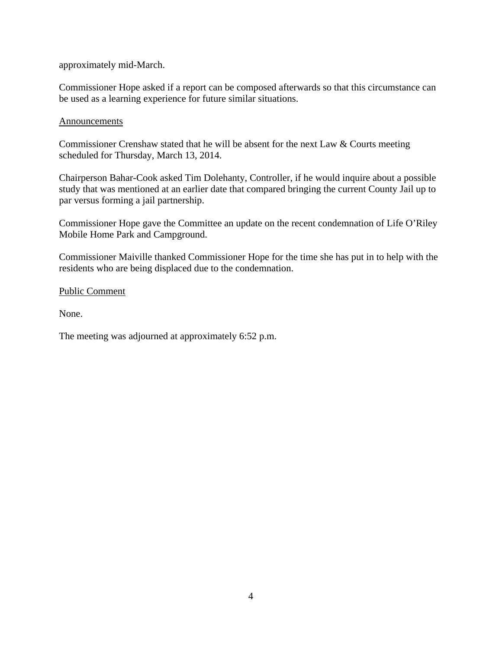approximately mid-March.

Commissioner Hope asked if a report can be composed afterwards so that this circumstance can be used as a learning experience for future similar situations.

#### Announcements

Commissioner Crenshaw stated that he will be absent for the next Law & Courts meeting scheduled for Thursday, March 13, 2014.

Chairperson Bahar-Cook asked Tim Dolehanty, Controller, if he would inquire about a possible study that was mentioned at an earlier date that compared bringing the current County Jail up to par versus forming a jail partnership.

Commissioner Hope gave the Committee an update on the recent condemnation of Life O'Riley Mobile Home Park and Campground.

Commissioner Maiville thanked Commissioner Hope for the time she has put in to help with the residents who are being displaced due to the condemnation.

Public Comment

None.

The meeting was adjourned at approximately 6:52 p.m.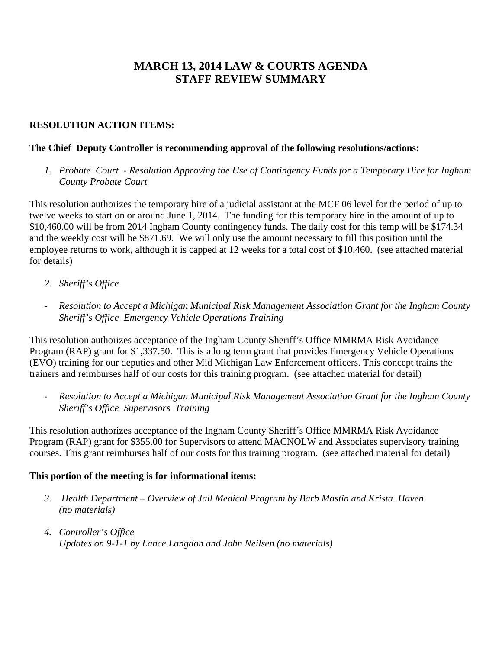# **MARCH 13, 2014 LAW & COURTS AGENDA STAFF REVIEW SUMMARY**

# **RESOLUTION ACTION ITEMS:**

## **The Chief Deputy Controller is recommending approval of the following resolutions/actions:**

*1. Probate Court - Resolution Approving the Use of Contingency Funds for a Temporary Hire for Ingham County Probate Court* 

This resolution authorizes the temporary hire of a judicial assistant at the MCF 06 level for the period of up to twelve weeks to start on or around June 1, 2014. The funding for this temporary hire in the amount of up to \$10,460.00 will be from 2014 Ingham County contingency funds. The daily cost for this temp will be \$174.34 and the weekly cost will be \$871.69. We will only use the amount necessary to fill this position until the employee returns to work, although it is capped at 12 weeks for a total cost of \$10,460. (see attached material for details)

- *2. Sheriff's Office*
- *Resolution to Accept a Michigan Municipal Risk Management Association Grant for the Ingham County Sheriff's Office Emergency Vehicle Operations Training*

This resolution authorizes acceptance of the Ingham County Sheriff's Office MMRMA Risk Avoidance Program (RAP) grant for \$1,337.50. This is a long term grant that provides Emergency Vehicle Operations (EVO) training for our deputies and other Mid Michigan Law Enforcement officers. This concept trains the trainers and reimburses half of our costs for this training program. (see attached material for detail)

- *Resolution to Accept a Michigan Municipal Risk Management Association Grant for the Ingham County Sheriff's Office Supervisors Training* 

This resolution authorizes acceptance of the Ingham County Sheriff's Office MMRMA Risk Avoidance Program (RAP) grant for \$355.00 for Supervisors to attend MACNOLW and Associates supervisory training courses. This grant reimburses half of our costs for this training program. (see attached material for detail)

# **This portion of the meeting is for informational items:**

- *3. Health Department Overview of Jail Medical Program by Barb Mastin and Krista Haven (no materials)*
- *4. Controller's Office Updates on 9-1-1 by Lance Langdon and John Neilsen (no materials)*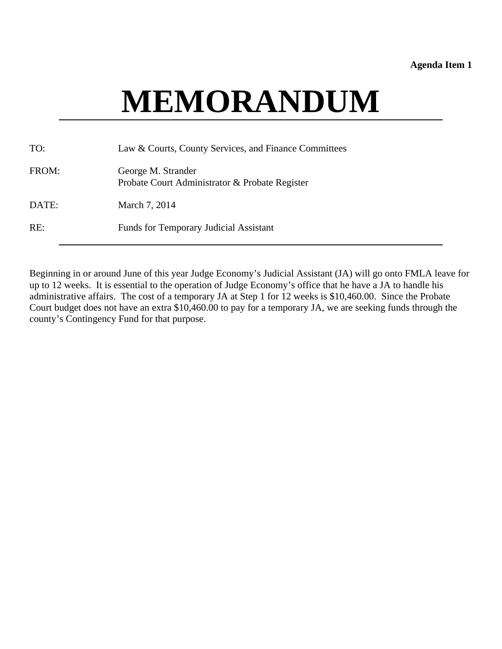#### **Agenda Item 1**

# **MEMORANDUM**

<span id="page-6-0"></span>

| TO:   | Law & Courts, County Services, and Finance Committees                |
|-------|----------------------------------------------------------------------|
| FROM: | George M. Strander<br>Probate Court Administrator & Probate Register |
| DATE: | March 7, 2014                                                        |
| RE:   | <b>Funds for Temporary Judicial Assistant</b>                        |

Beginning in or around June of this year Judge Economy's Judicial Assistant (JA) will go onto FMLA leave for up to 12 weeks. It is essential to the operation of Judge Economy's office that he have a JA to handle his administrative affairs. The cost of a temporary JA at Step 1 for 12 weeks is \$10,460.00. Since the Probate Court budget does not have an extra \$10,460.00 to pay for a temporary JA, we are seeking funds through the county's Contingency Fund for that purpose.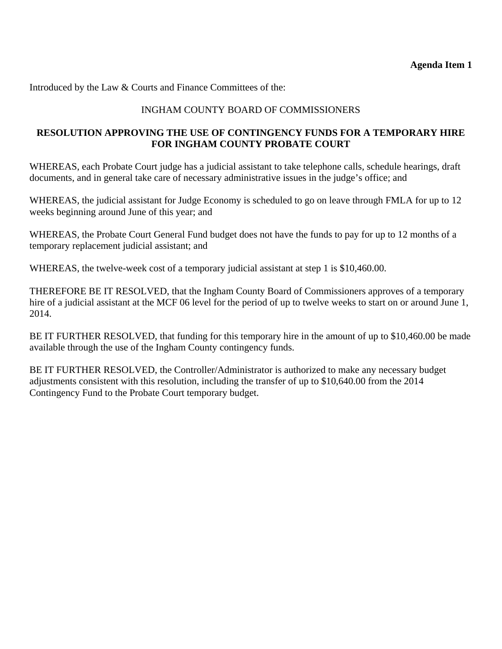Introduced by the Law & Courts and Finance Committees of the:

# INGHAM COUNTY BOARD OF COMMISSIONERS

# **RESOLUTION APPROVING THE USE OF CONTINGENCY FUNDS FOR A TEMPORARY HIRE FOR INGHAM COUNTY PROBATE COURT**

WHEREAS, each Probate Court judge has a judicial assistant to take telephone calls, schedule hearings, draft documents, and in general take care of necessary administrative issues in the judge's office; and

WHEREAS, the judicial assistant for Judge Economy is scheduled to go on leave through FMLA for up to 12 weeks beginning around June of this year; and

WHEREAS, the Probate Court General Fund budget does not have the funds to pay for up to 12 months of a temporary replacement judicial assistant; and

WHEREAS, the twelve-week cost of a temporary judicial assistant at step 1 is \$10,460.00.

THEREFORE BE IT RESOLVED, that the Ingham County Board of Commissioners approves of a temporary hire of a judicial assistant at the MCF 06 level for the period of up to twelve weeks to start on or around June 1, 2014.

BE IT FURTHER RESOLVED, that funding for this temporary hire in the amount of up to \$10,460.00 be made available through the use of the Ingham County contingency funds.

BE IT FURTHER RESOLVED, the Controller/Administrator is authorized to make any necessary budget adjustments consistent with this resolution, including the transfer of up to \$10,640.00 from the 2014 Contingency Fund to the Probate Court temporary budget.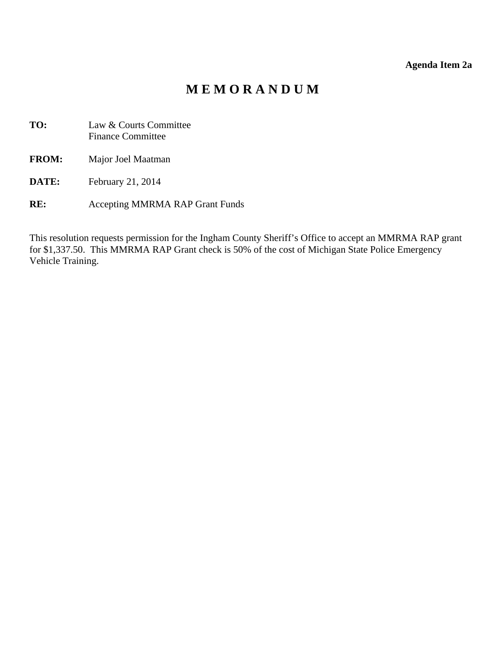# **Agenda Item 2a**

# **M E M O R A N D U M**

- <span id="page-8-0"></span>**TO:** Law & Courts Committee Finance Committee
- **FROM:** Major Joel Maatman
- **DATE:** February 21, 2014
- **RE:** Accepting MMRMA RAP Grant Funds

This resolution requests permission for the Ingham County Sheriff's Office to accept an MMRMA RAP grant for \$1,337.50. This MMRMA RAP Grant check is 50% of the cost of Michigan State Police Emergency Vehicle Training.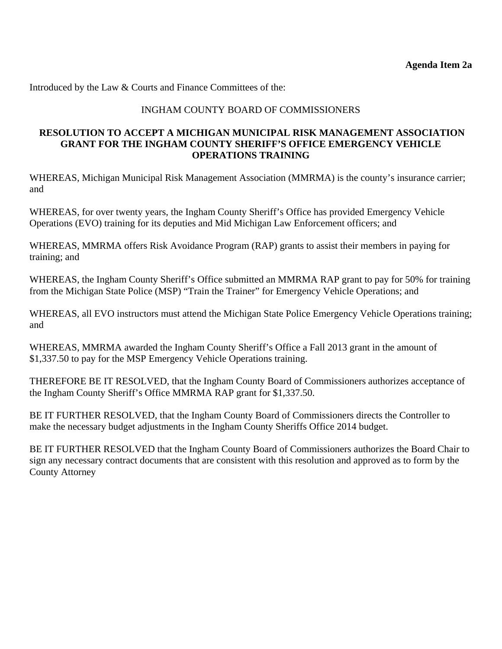Introduced by the Law & Courts and Finance Committees of the:

#### INGHAM COUNTY BOARD OF COMMISSIONERS

#### **RESOLUTION TO ACCEPT A MICHIGAN MUNICIPAL RISK MANAGEMENT ASSOCIATION GRANT FOR THE INGHAM COUNTY SHERIFF'S OFFICE EMERGENCY VEHICLE OPERATIONS TRAINING**

WHEREAS, Michigan Municipal Risk Management Association (MMRMA) is the county's insurance carrier; and

WHEREAS, for over twenty years, the Ingham County Sheriff's Office has provided Emergency Vehicle Operations (EVO) training for its deputies and Mid Michigan Law Enforcement officers; and

WHEREAS, MMRMA offers Risk Avoidance Program (RAP) grants to assist their members in paying for training; and

WHEREAS, the Ingham County Sheriff's Office submitted an MMRMA RAP grant to pay for 50% for training from the Michigan State Police (MSP) "Train the Trainer" for Emergency Vehicle Operations; and

WHEREAS, all EVO instructors must attend the Michigan State Police Emergency Vehicle Operations training; and

WHEREAS, MMRMA awarded the Ingham County Sheriff's Office a Fall 2013 grant in the amount of \$1,337.50 to pay for the MSP Emergency Vehicle Operations training.

THEREFORE BE IT RESOLVED, that the Ingham County Board of Commissioners authorizes acceptance of the Ingham County Sheriff's Office MMRMA RAP grant for \$1,337.50.

BE IT FURTHER RESOLVED, that the Ingham County Board of Commissioners directs the Controller to make the necessary budget adjustments in the Ingham County Sheriffs Office 2014 budget.

BE IT FURTHER RESOLVED that the Ingham County Board of Commissioners authorizes the Board Chair to sign any necessary contract documents that are consistent with this resolution and approved as to form by the County Attorney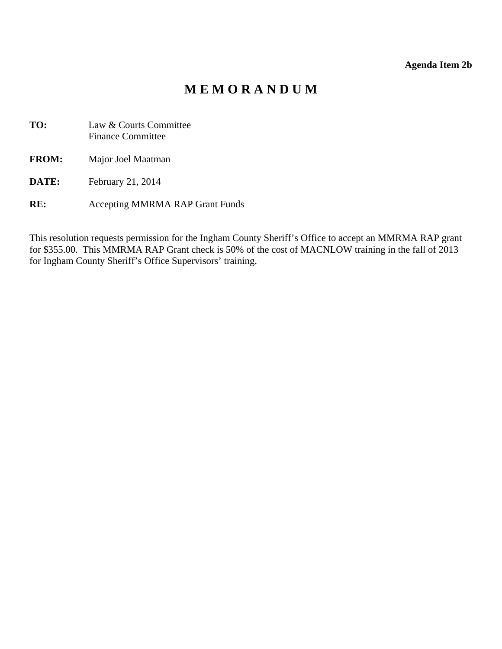#### **Agenda Item 2b**

# **M E M O R A N D U M**

<span id="page-10-0"></span>**TO:** Law & Courts Committee Finance Committee

**FROM:** Major Joel Maatman

- **DATE:** February 21, 2014
- **RE:** Accepting MMRMA RAP Grant Funds

This resolution requests permission for the Ingham County Sheriff's Office to accept an MMRMA RAP grant for \$355.00. This MMRMA RAP Grant check is 50% of the cost of MACNLOW training in the fall of 2013 for Ingham County Sheriff's Office Supervisors' training.